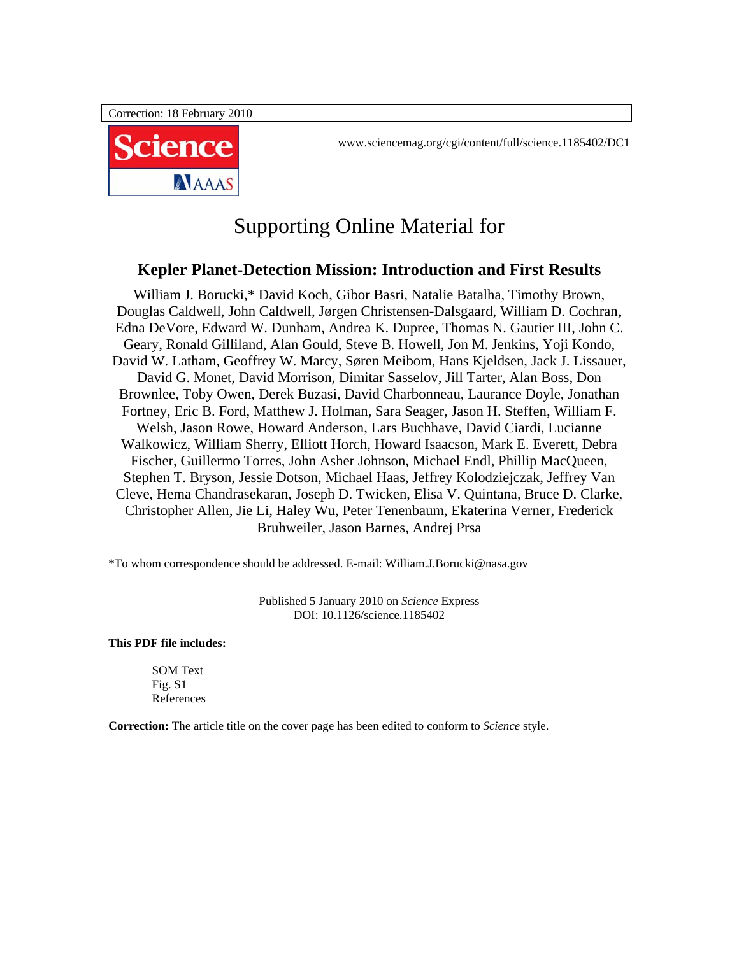Correction: 18 February 2010



www.sciencemag.org/cgi/content/full/science.1185402/DC1

# Supporting Online Material for

# **Kepler Planet-Detection Mission: Introduction and First Results**

William J. Borucki,\* David Koch, Gibor Basri, Natalie Batalha, Timothy Brown, Douglas Caldwell, John Caldwell, Jørgen Christensen-Dalsgaard, William D. Cochran, Edna DeVore, Edward W. Dunham, Andrea K. Dupree, Thomas N. Gautier III, John C. Geary, Ronald Gilliland, Alan Gould, Steve B. Howell, Jon M. Jenkins, Yoji Kondo, David W. Latham, Geoffrey W. Marcy, Søren Meibom, Hans Kjeldsen, Jack J. Lissauer, David G. Monet, David Morrison, Dimitar Sasselov, Jill Tarter, Alan Boss, Don Brownlee, Toby Owen, Derek Buzasi, David Charbonneau, Laurance Doyle, Jonathan Fortney, Eric B. Ford, Matthew J. Holman, Sara Seager, Jason H. Steffen, William F. Welsh, Jason Rowe, Howard Anderson, Lars Buchhave, David Ciardi, Lucianne Walkowicz, William Sherry, Elliott Horch, Howard Isaacson, Mark E. Everett, Debra Fischer, Guillermo Torres, John Asher Johnson, Michael Endl, Phillip MacQueen, Stephen T. Bryson, Jessie Dotson, Michael Haas, Jeffrey Kolodziejczak, Jeffrey Van Cleve, Hema Chandrasekaran, Joseph D. Twicken, Elisa V. Quintana, Bruce D. Clarke, Christopher Allen, Jie Li, Haley Wu, Peter Tenenbaum, Ekaterina Verner, Frederick Bruhweiler, Jason Barnes, Andrej Prsa

\*To whom correspondence should be addressed. E-mail: William.J.Borucki@nasa.gov

Published 5 January 2010 on *Science* Express DOI: 10.1126/science.1185402

**This PDF file includes:** 

SOM Text Fig. S1 References

**Correction:** The article title on the cover page has been edited to conform to *Science* style.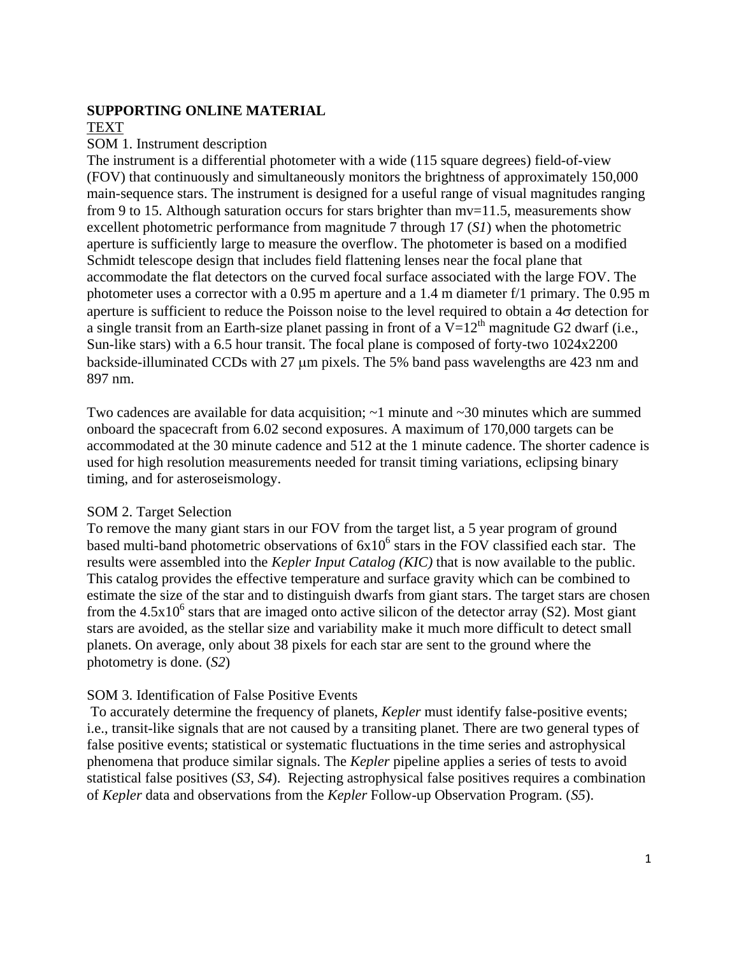### **SUPPORTING ONLINE MATERIAL**

# TEXT

#### SOM 1. Instrument description

The instrument is a differential photometer with a wide (115 square degrees) field-of-view (FOV) that continuously and simultaneously monitors the brightness of approximately 150,000 main-sequence stars. The instrument is designed for a useful range of visual magnitudes ranging from 9 to 15. Although saturation occurs for stars brighter than mv=11.5, measurements show excellent photometric performance from magnitude 7 through 17 (*S1*) when the photometric aperture is sufficiently large to measure the overflow. The photometer is based on a modified Schmidt telescope design that includes field flattening lenses near the focal plane that accommodate the flat detectors on the curved focal surface associated with the large FOV. The photometer uses a corrector with a 0.95 m aperture and a 1.4 m diameter f/1 primary. The 0.95 m aperture is sufficient to reduce the Poisson noise to the level required to obtain a 4σ detection for a single transit from an Earth-size planet passing in front of a  $\overline{V}$ =12<sup>th</sup> magnitude G2 dwarf (i.e., Sun-like stars) with a 6.5 hour transit. The focal plane is composed of forty-two 1024x2200 backside-illuminated CCDs with 27 μm pixels. The 5% band pass wavelengths are 423 nm and 897 nm.

Two cadences are available for data acquisition;  $\sim$ 1 minute and  $\sim$ 30 minutes which are summed onboard the spacecraft from 6.02 second exposures. A maximum of 170,000 targets can be accommodated at the 30 minute cadence and 512 at the 1 minute cadence. The shorter cadence is used for high resolution measurements needed for transit timing variations, eclipsing binary timing, and for asteroseismology.

#### SOM 2. Target Selection

To remove the many giant stars in our FOV from the target list, a 5 year program of ground based multi-band photometric observations of  $6x10^6$  stars in the FOV classified each star. The results were assembled into the *Kepler Input Catalog (KIC)* that is now available to the public. This catalog provides the effective temperature and surface gravity which can be combined to estimate the size of the star and to distinguish dwarfs from giant stars. The target stars are chosen from the  $4.5x10^6$  stars that are imaged onto active silicon of the detector array (S2). Most giant stars are avoided, as the stellar size and variability make it much more difficult to detect small planets. On average, only about 38 pixels for each star are sent to the ground where the photometry is done. (*S2*)

## SOM 3. Identification of False Positive Events

 To accurately determine the frequency of planets, *Kepler* must identify false-positive events; i.e., transit-like signals that are not caused by a transiting planet. There are two general types of false positive events; statistical or systematic fluctuations in the time series and astrophysical phenomena that produce similar signals. The *Kepler* pipeline applies a series of tests to avoid statistical false positives (*S3, S4*). Rejecting astrophysical false positives requires a combination of *Kepler* data and observations from the *Kepler* Follow-up Observation Program. (*S5*).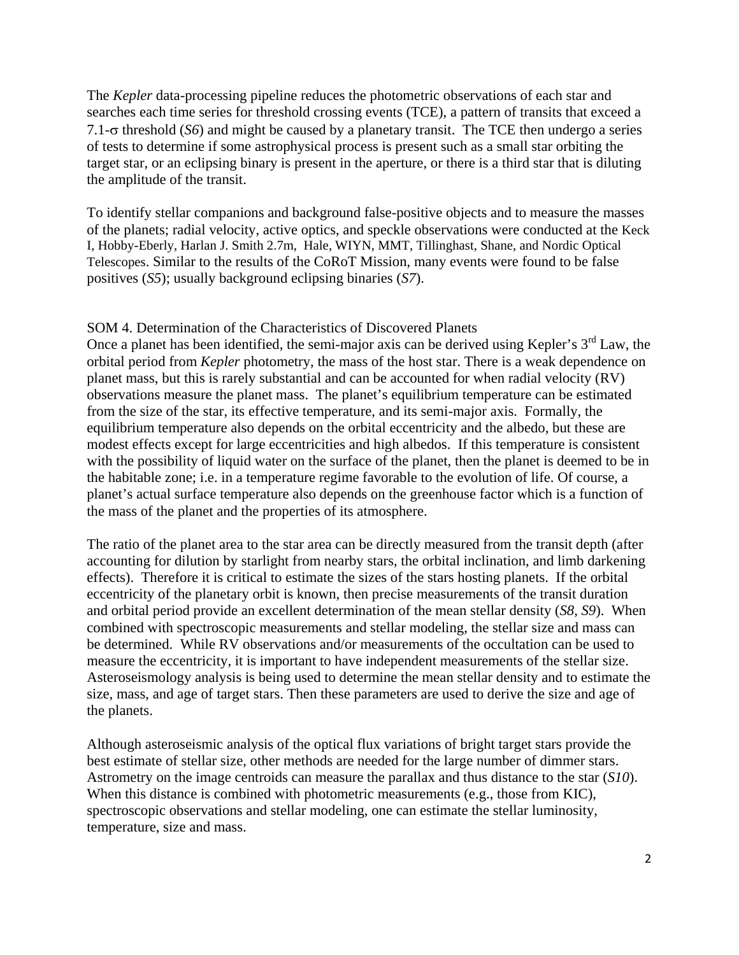The *Kepler* data-processing pipeline reduces the photometric observations of each star and searches each time series for threshold crossing events (TCE), a pattern of transits that exceed a 7.1-σ threshold (*S6*) and might be caused by a planetary transit. The TCE then undergo a series of tests to determine if some astrophysical process is present such as a small star orbiting the target star, or an eclipsing binary is present in the aperture, or there is a third star that is diluting the amplitude of the transit.

To identify stellar companions and background false-positive objects and to measure the masses of the planets; radial velocity, active optics, and speckle observations were conducted at the Keck I, Hobby-Eberly, Harlan J. Smith 2.7m, Hale, WIYN, MMT, Tillinghast, Shane, and Nordic Optical Telescopes. Similar to the results of the CoRoT Mission, many events were found to be false positives (*S5*); usually background eclipsing binaries (*S7*).

## SOM 4. Determination of the Characteristics of Discovered Planets

Once a planet has been identified, the semi-major axis can be derived using Kepler's  $3<sup>rd</sup>$  Law, the orbital period from *Kepler* photometry, the mass of the host star. There is a weak dependence on planet mass, but this is rarely substantial and can be accounted for when radial velocity (RV) observations measure the planet mass. The planet's equilibrium temperature can be estimated from the size of the star, its effective temperature, and its semi-major axis. Formally, the equilibrium temperature also depends on the orbital eccentricity and the albedo, but these are modest effects except for large eccentricities and high albedos. If this temperature is consistent with the possibility of liquid water on the surface of the planet, then the planet is deemed to be in the habitable zone; i.e. in a temperature regime favorable to the evolution of life. Of course, a planet's actual surface temperature also depends on the greenhouse factor which is a function of the mass of the planet and the properties of its atmosphere.

The ratio of the planet area to the star area can be directly measured from the transit depth (after accounting for dilution by starlight from nearby stars, the orbital inclination, and limb darkening effects). Therefore it is critical to estimate the sizes of the stars hosting planets. If the orbital eccentricity of the planetary orbit is known, then precise measurements of the transit duration and orbital period provide an excellent determination of the mean stellar density (*S8, S9*). When combined with spectroscopic measurements and stellar modeling, the stellar size and mass can be determined. While RV observations and/or measurements of the occultation can be used to measure the eccentricity, it is important to have independent measurements of the stellar size. Asteroseismology analysis is being used to determine the mean stellar density and to estimate the size, mass, and age of target stars. Then these parameters are used to derive the size and age of the planets.

Although asteroseismic analysis of the optical flux variations of bright target stars provide the best estimate of stellar size, other methods are needed for the large number of dimmer stars. Astrometry on the image centroids can measure the parallax and thus distance to the star (*S10*). When this distance is combined with photometric measurements (e.g., those from KIC), spectroscopic observations and stellar modeling, one can estimate the stellar luminosity, temperature, size and mass.